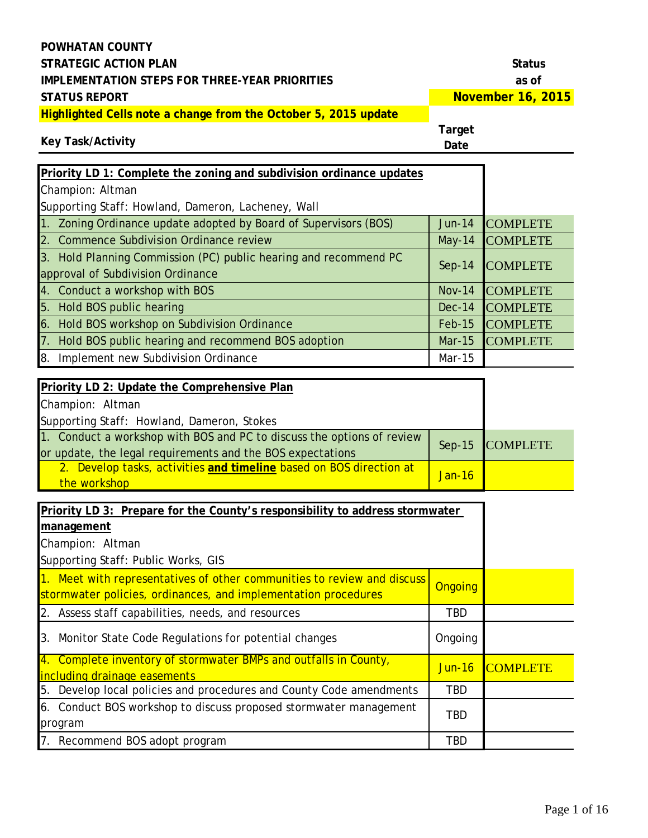**November 16, 2015**

**Highlighted Cells note a change from the October 5, 2015 update**

#### **Target**

|  | Key Task/Activity |
|--|-------------------|
|--|-------------------|

| Priority LD 1: Complete the zoning and subdivision ordinance updates                                  |               |                 |
|-------------------------------------------------------------------------------------------------------|---------------|-----------------|
| Champion: Altman                                                                                      |               |                 |
| Supporting Staff: Howland, Dameron, Lacheney, Wall                                                    |               |                 |
| 1. Zoning Ordinance update adopted by Board of Supervisors (BOS)                                      | $Jun-14$      | <b>COMPLETE</b> |
| 2. Commence Subdivision Ordinance review                                                              | $May-14$      | <b>COMPLETE</b> |
| 3. Hold Planning Commission (PC) public hearing and recommend PC<br>approval of Subdivision Ordinance | $Sep-14$      | <b>COMPLETE</b> |
| 4. Conduct a workshop with BOS                                                                        | <b>Nov-14</b> | <b>COMPLETE</b> |
| 5. Hold BOS public hearing                                                                            | $Dec-14$      | <b>COMPLETE</b> |
| 6. Hold BOS workshop on Subdivision Ordinance                                                         | <b>Feb-15</b> | <b>COMPLETE</b> |
| 7. Hold BOS public hearing and recommend BOS adoption                                                 | <b>Mar-15</b> | <b>COMPLETE</b> |
| 8. Implement new Subdivision Ordinance                                                                | Mar-15        |                 |
| Priority LD 2: Update the Comprehensive Plan                                                          |               |                 |

| Priority LD 2: Update the Comprehensive Plan                           |          |                 |
|------------------------------------------------------------------------|----------|-----------------|
| Champion: Altman                                                       |          |                 |
| Supporting Staff: Howland, Dameron, Stokes                             |          |                 |
| 1. Conduct a workshop with BOS and PC to discuss the options of review |          | Sep-15 COMPLETE |
| or update, the legal requirements and the BOS expectations             |          |                 |
| 2. Develop tasks, activities and timeline based on BOS direction at    | $Jan-16$ |                 |
| the workshop                                                           |          |                 |

| Priority LD 3: Prepare for the County's responsibility to address stormwater                                                              |            |                 |
|-------------------------------------------------------------------------------------------------------------------------------------------|------------|-----------------|
| management                                                                                                                                |            |                 |
| Champion: Altman                                                                                                                          |            |                 |
| Supporting Staff: Public Works, GIS                                                                                                       |            |                 |
| 1. Meet with representatives of other communities to review and discuss<br>stormwater policies, ordinances, and implementation procedures | Ongoing    |                 |
| 2. Assess staff capabilities, needs, and resources                                                                                        | <b>TBD</b> |                 |
| 3. Monitor State Code Regulations for potential changes                                                                                   | Ongoing    |                 |
| 4. Complete inventory of stormwater BMPs and outfalls in County,<br>including drainage easements                                          | Jun-16     | <b>COMPLETE</b> |
| 5. Develop local policies and procedures and County Code amendments                                                                       | <b>TBD</b> |                 |
| 6. Conduct BOS workshop to discuss proposed stormwater management<br>program                                                              | TBD.       |                 |
| 7. Recommend BOS adopt program                                                                                                            | <b>TBD</b> |                 |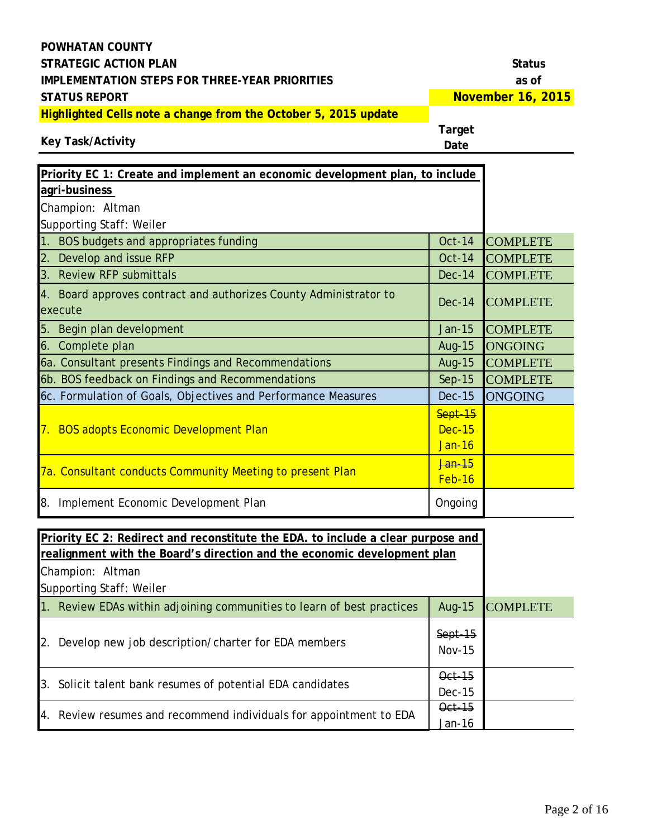**November 16, 2015**

**Highlighted Cells note a change from the October 5, 2015 update**

#### **Key Task/Activity**

| Priority EC 1: Create and implement an economic development plan, to include |               |                 |
|------------------------------------------------------------------------------|---------------|-----------------|
| agri-business                                                                |               |                 |
| Champion: Altman                                                             |               |                 |
| Supporting Staff: Weiler                                                     |               |                 |
| 1. BOS budgets and appropriates funding                                      | <b>Oct-14</b> | <b>COMPLETE</b> |
| 2. Develop and issue RFP                                                     | $Oct-14$      | <b>COMPLETE</b> |
| 3. Review RFP submittals                                                     | <b>Dec-14</b> | <b>COMPLETE</b> |
| 4. Board approves contract and authorizes County Administrator to            |               |                 |
| execute                                                                      | $Dec-14$      | <b>COMPLETE</b> |
| 5. Begin plan development                                                    | Jan-15        | <b>COMPLETE</b> |
| 6. Complete plan                                                             | Aug-15        | <b>ONGOING</b>  |
| 6a. Consultant presents Findings and Recommendations                         | Aug-15        | <b>COMPLETE</b> |
| 6b. BOS feedback on Findings and Recommendations                             | $Sep-15$      | <b>COMPLETE</b> |
| 6c. Formulation of Goals, Objectives and Performance Measures                | <b>Dec-15</b> | <b>ONGOING</b>  |
|                                                                              | Sept-15       |                 |
| <b>BOS adopts Economic Development Plan</b><br>7.                            | <b>Dec-15</b> |                 |
|                                                                              | <b>Jan-16</b> |                 |
|                                                                              | <b>Jan</b> 15 |                 |
| 7a. Consultant conducts Community Meeting to present Plan                    | Feb-16        |                 |
| 8. Implement Economic Development Plan                                       | Ongoing       |                 |
|                                                                              |               |                 |

| Priority EC 2: Redirect and reconstitute the EDA, to include a clear purpose and |                            |                 |
|----------------------------------------------------------------------------------|----------------------------|-----------------|
| realignment with the Board's direction and the economic development plan         |                            |                 |
| Champion: Altman                                                                 |                            |                 |
| Supporting Staff: Weiler                                                         |                            |                 |
| 1. Review EDAs within adjoining communities to learn of best practices           | Aug-15                     | <b>COMPLETE</b> |
| 2.<br>Develop new job description/charter for EDA members                        | $Sept-15$<br><b>Nov-15</b> |                 |
| 3. Solicit talent bank resumes of potential EDA candidates                       | $Qct-15$<br>$Dec-15$       |                 |
| 4. Review resumes and recommend individuals for appointment to EDA               | Oct-15<br>Jan-16           |                 |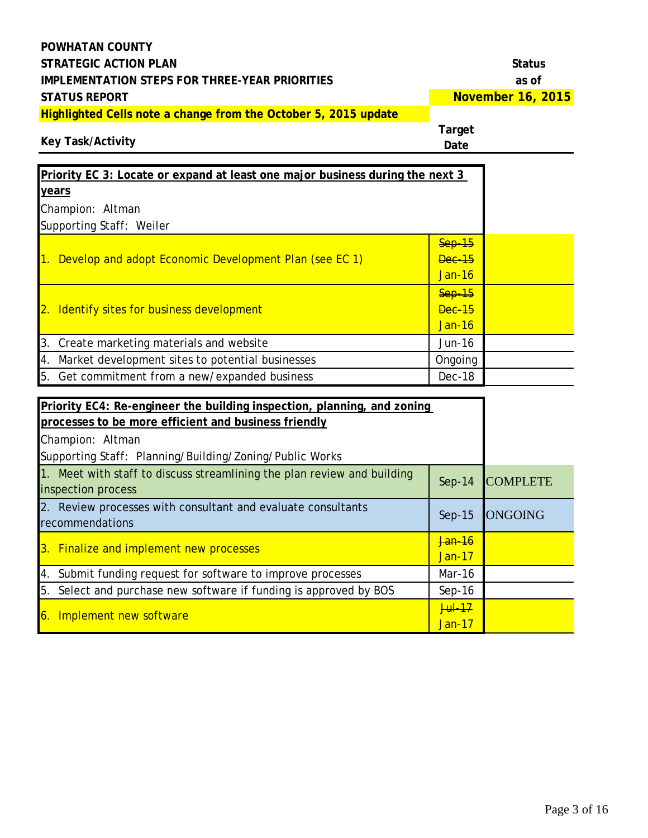| <b>POWHATAN COUNTY</b>                                                                                                          |                |                   |
|---------------------------------------------------------------------------------------------------------------------------------|----------------|-------------------|
| <b>STRATEGIC ACTION PLAN</b>                                                                                                    |                | <b>Status</b>     |
| <b>IMPLEMENTATION STEPS FOR THREE-YEAR PRIORITIES</b>                                                                           |                | as of             |
| <b>STATUS REPORT</b>                                                                                                            |                | November 16, 2015 |
| Highlighted Cells note a change from the October 5, 2015 update<br><b>Key Task/Activity</b>                                     | Target<br>Date |                   |
| Priority EC 3: Locate or expand at least one major business during the next 3                                                   |                |                   |
| <u>years</u>                                                                                                                    |                |                   |
| Champion: Altman                                                                                                                |                |                   |
| Supporting Staff: Weiler                                                                                                        |                |                   |
|                                                                                                                                 | $Sep-15$       |                   |
| 1. Develop and adopt Economic Development Plan (see EC 1)                                                                       | <b>Dec-15</b>  |                   |
|                                                                                                                                 | <b>Jan-16</b>  |                   |
|                                                                                                                                 | $Sep-15$       |                   |
| 2. Identify sites for business development                                                                                      | <b>Dec-15</b>  |                   |
|                                                                                                                                 | <b>Jan-16</b>  |                   |
| 3. Create marketing materials and website                                                                                       | Jun-16         |                   |
| 4. Market development sites to potential businesses                                                                             | Ongoing        |                   |
| 5. Get commitment from a new/expanded business                                                                                  | Dec-18         |                   |
|                                                                                                                                 |                |                   |
| Priority EC4: Re-engineer the building inspection, planning, and zoning<br>processes to be more efficient and business friendly |                |                   |
| Champion: Altman                                                                                                                |                |                   |
| Supporting Staff: Planning/Building/Zoning/Public Works                                                                         |                |                   |
| 1. Meet with staff to discuss streamlining the plan review and building                                                         |                |                   |
| inspection process                                                                                                              | $Sep-14$       | <b>COMPLETE</b>   |
| 2. Review processes with consultant and evaluate consultants                                                                    |                |                   |
| recommendations                                                                                                                 | $Sep-15$       | <b>ONGOING</b>    |
| 3. Finalize and implement new processes                                                                                         | Jan-16         |                   |
|                                                                                                                                 | <b>Jan-17</b>  |                   |
| Submit funding request for software to improve processes<br>4.                                                                  | Mar-16         |                   |
| Select and purchase new software if funding is approved by BOS<br>5.                                                            | $Sep-16$       |                   |
| 6. Implement new software                                                                                                       | $Jul-17$       |                   |
|                                                                                                                                 | <b>Jan-17</b>  |                   |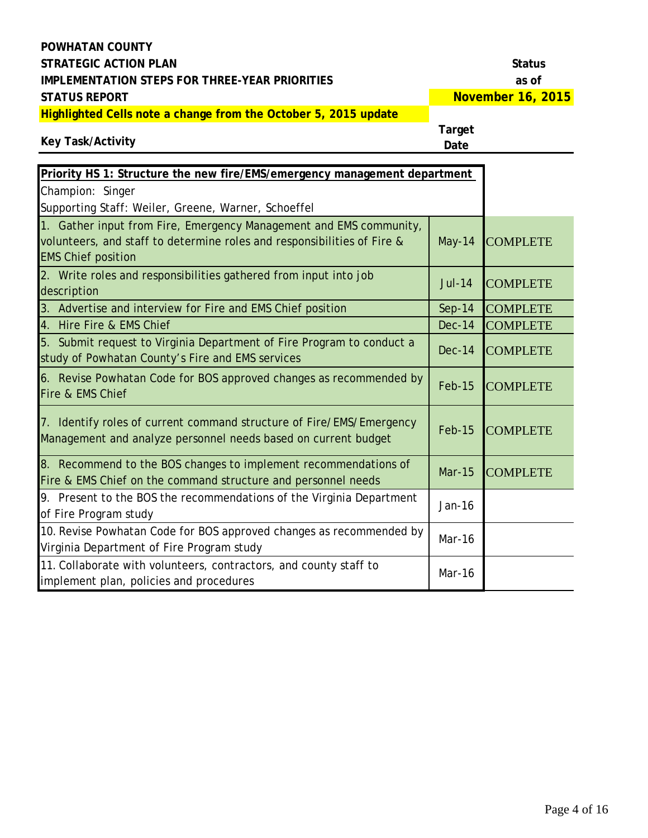**Key Task/Activity**

**November 16, 2015**

**Highlighted Cells note a change from the October 5, 2015 update**

| Priority HS 1: Structure the new fire/EMS/emergency management department                                                                                                  |               |                 |
|----------------------------------------------------------------------------------------------------------------------------------------------------------------------------|---------------|-----------------|
| Champion: Singer                                                                                                                                                           |               |                 |
| Supporting Staff: Weiler, Greene, Warner, Schoeffel                                                                                                                        |               |                 |
| 1. Gather input from Fire, Emergency Management and EMS community,<br>volunteers, and staff to determine roles and responsibilities of Fire &<br><b>EMS Chief position</b> | <b>May-14</b> | <b>COMPLETE</b> |
| 2. Write roles and responsibilities gathered from input into job<br>description                                                                                            | <b>Jul-14</b> | <b>COMPLETE</b> |
| 3. Advertise and interview for Fire and EMS Chief position                                                                                                                 | $Sep-14$      | <b>COMPLETE</b> |
| 4. Hire Fire & EMS Chief                                                                                                                                                   | <b>Dec-14</b> | <b>COMPLETE</b> |
| 5. Submit request to Virginia Department of Fire Program to conduct a<br>study of Powhatan County's Fire and EMS services                                                  | $Dec-14$      | <b>COMPLETE</b> |
| 6. Revise Powhatan Code for BOS approved changes as recommended by<br>Fire & EMS Chief                                                                                     | <b>Feb-15</b> | <b>COMPLETE</b> |
| 7. Identify roles of current command structure of Fire/EMS/Emergency<br>Management and analyze personnel needs based on current budget                                     | <b>Feb-15</b> | <b>COMPLETE</b> |
| 8. Recommend to the BOS changes to implement recommendations of<br>Fire & EMS Chief on the command structure and personnel needs                                           | <b>Mar-15</b> | <b>COMPLETE</b> |
| 9. Present to the BOS the recommendations of the Virginia Department<br>of Fire Program study                                                                              | Jan-16        |                 |
| 10. Revise Powhatan Code for BOS approved changes as recommended by<br>Virginia Department of Fire Program study                                                           | Mar-16        |                 |
| 11. Collaborate with volunteers, contractors, and county staff to<br>implement plan, policies and procedures                                                               | Mar-16        |                 |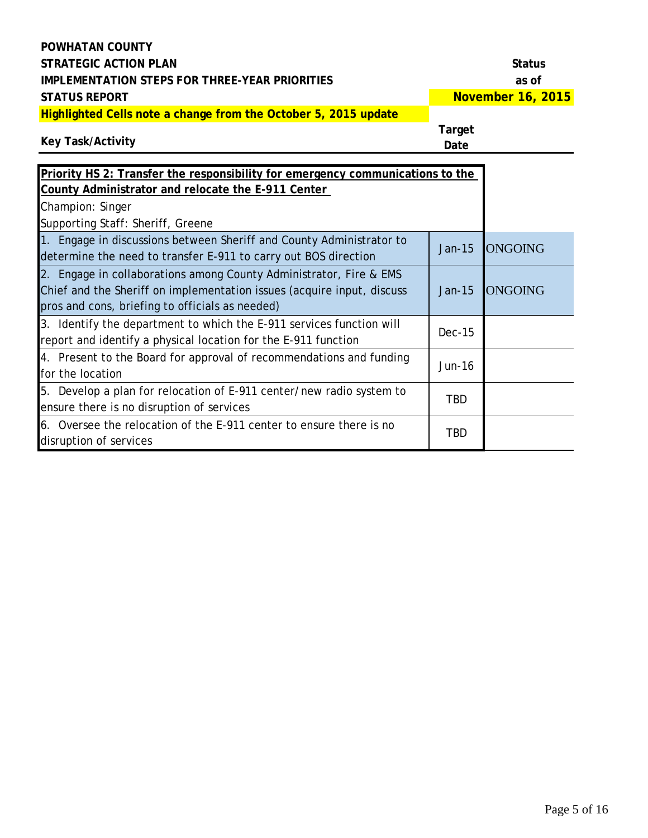**November 16, 2015**

**Highlighted Cells note a change from the October 5, 2015 update**

### **Target**

**Key Task/Activity**

| Priority HS 2: Transfer the responsibility for emergency communications to the<br>County Administrator and relocate the E-911 Center                                                            |            |                |
|-------------------------------------------------------------------------------------------------------------------------------------------------------------------------------------------------|------------|----------------|
| Champion: Singer<br>Supporting Staff: Sheriff, Greene                                                                                                                                           |            |                |
| 1. Engage in discussions between Sheriff and County Administrator to<br>determine the need to transfer E-911 to carry out BOS direction                                                         | Jan-15     | <b>ONGOING</b> |
| 2. Engage in collaborations among County Administrator, Fire & EMS<br>Chief and the Sheriff on implementation issues (acquire input, discuss<br>pros and cons, briefing to officials as needed) | $Jan-15$   | <b>ONGOING</b> |
| 3. Identify the department to which the E-911 services function will<br>report and identify a physical location for the E-911 function                                                          | $Dec-15$   |                |
| 4. Present to the Board for approval of recommendations and funding<br>for the location                                                                                                         | Jun-16     |                |
| 5. Develop a plan for relocation of E-911 center/new radio system to<br>ensure there is no disruption of services                                                                               | <b>TBD</b> |                |
| 6. Oversee the relocation of the E-911 center to ensure there is no<br>disruption of services                                                                                                   | <b>TBD</b> |                |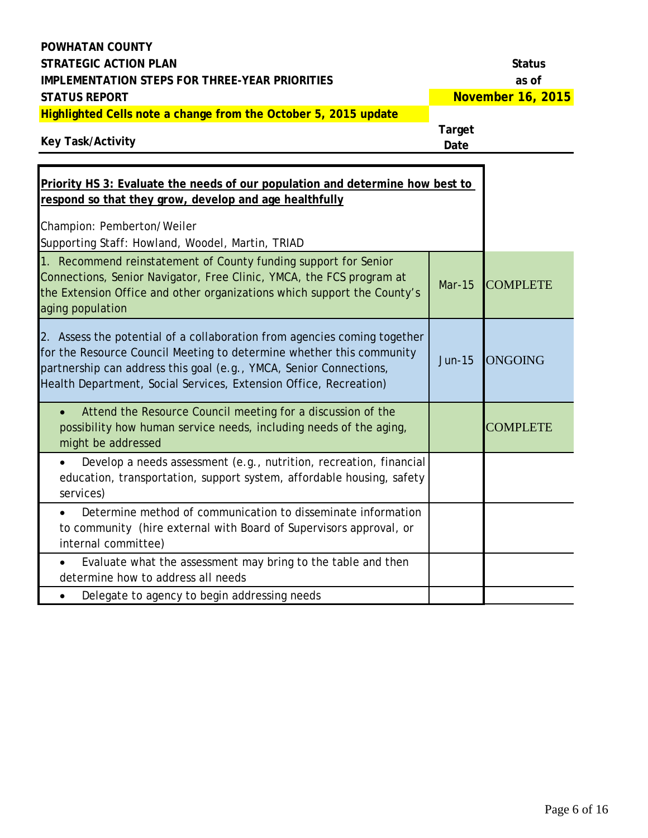| <b>POWHATAN COUNTY</b>                                                                                                                                                                                                                                                                      |                       |                   |
|---------------------------------------------------------------------------------------------------------------------------------------------------------------------------------------------------------------------------------------------------------------------------------------------|-----------------------|-------------------|
| <b>STRATEGIC ACTION PLAN</b>                                                                                                                                                                                                                                                                |                       | <b>Status</b>     |
| <b>IMPLEMENTATION STEPS FOR THREE-YEAR PRIORITIES</b>                                                                                                                                                                                                                                       |                       | as of             |
| <b>STATUS REPORT</b>                                                                                                                                                                                                                                                                        |                       | November 16, 2015 |
| Highlighted Cells note a change from the October 5, 2015 update<br><b>Key Task/Activity</b>                                                                                                                                                                                                 | <b>Target</b><br>Date |                   |
| Priority HS 3: Evaluate the needs of our population and determine how best to<br>respond so that they grow, develop and age healthfully<br>Champion: Pemberton/Weiler<br>Supporting Staff: Howland, Woodel, Martin, TRIAD                                                                   |                       |                   |
| 1. Recommend reinstatement of County funding support for Senior<br>Connections, Senior Navigator, Free Clinic, YMCA, the FCS program at<br>the Extension Office and other organizations which support the County's<br>aging population                                                      | <b>Mar-15</b>         | <b>COMPLETE</b>   |
| 2. Assess the potential of a collaboration from agencies coming together<br>for the Resource Council Meeting to determine whether this community<br>partnership can address this goal (e.g., YMCA, Senior Connections,<br>Health Department, Social Services, Extension Office, Recreation) | <b>Jun-15</b>         | <b>ONGOING</b>    |
| Attend the Resource Council meeting for a discussion of the<br>possibility how human service needs, including needs of the aging,<br>might be addressed                                                                                                                                     |                       | <b>COMPLETE</b>   |
| Develop a needs assessment (e.g., nutrition, recreation, financial<br>education, transportation, support system, affordable housing, safety<br>services)                                                                                                                                    |                       |                   |
| Determine method of communication to disseminate information<br>to community (hire external with Board of Supervisors approval, or<br>internal committee)                                                                                                                                   |                       |                   |
| Evaluate what the assessment may bring to the table and then<br>determine how to address all needs                                                                                                                                                                                          |                       |                   |
| Delegate to agency to begin addressing needs                                                                                                                                                                                                                                                |                       |                   |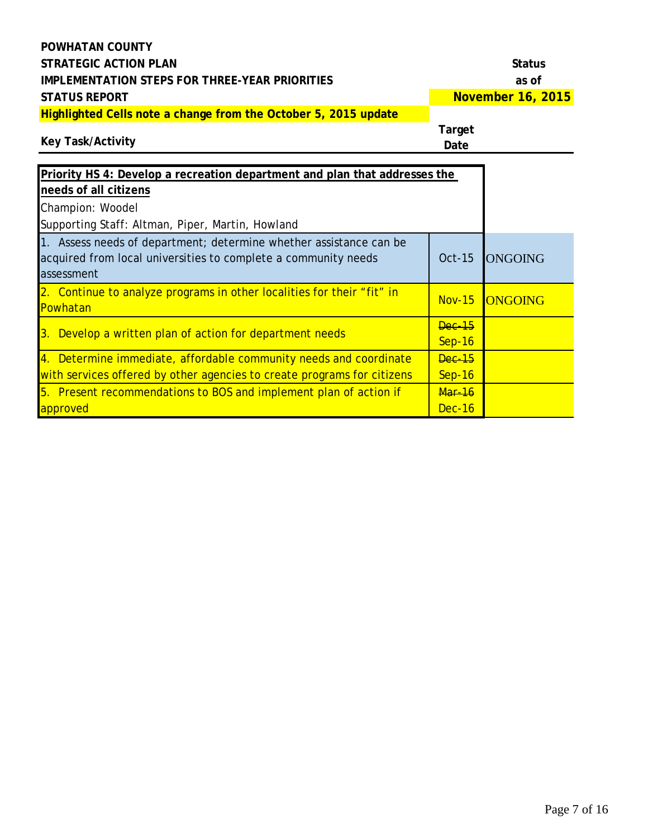### **POWHATAN COUNTY STRATEGIC ACTION PLAN STRATEGIC ACTION PLAN IMPLEMENTATION STEPS FOR THREE-YEAR PRIORITIES as of STATUS REPORT Highlighted Cells note a change from the October 5, 2015 update**

**November 16, 2015**

### **Key Task/Activity**

| Priority HS 4: Develop a recreation department and plan that addresses the                                                                         |                             |                |
|----------------------------------------------------------------------------------------------------------------------------------------------------|-----------------------------|----------------|
| needs of all citizens                                                                                                                              |                             |                |
| Champion: Woodel                                                                                                                                   |                             |                |
| Supporting Staff: Altman, Piper, Martin, Howland                                                                                                   |                             |                |
| 1. Assess needs of department; determine whether assistance can be<br>acquired from local universities to complete a community needs<br>assessment | Oct-15                      | <b>ONGOING</b> |
| 2. Continue to analyze programs in other localities for their "fit" in<br>Powhatan                                                                 | $Nov-15$                    | <b>ONGOING</b> |
| 3. Develop a written plan of action for department needs                                                                                           | $\sqrt{2}$<br><b>Sep-16</b> |                |
| 4. Determine immediate, affordable community needs and coordinate<br>with services offered by other agencies to create programs for citizens       | <b>Dec-15</b><br>$Sep-16$   |                |
| 5. Present recommendations to BOS and implement plan of action if<br>approved                                                                      | <b>Mar-16</b><br>Dec-16     |                |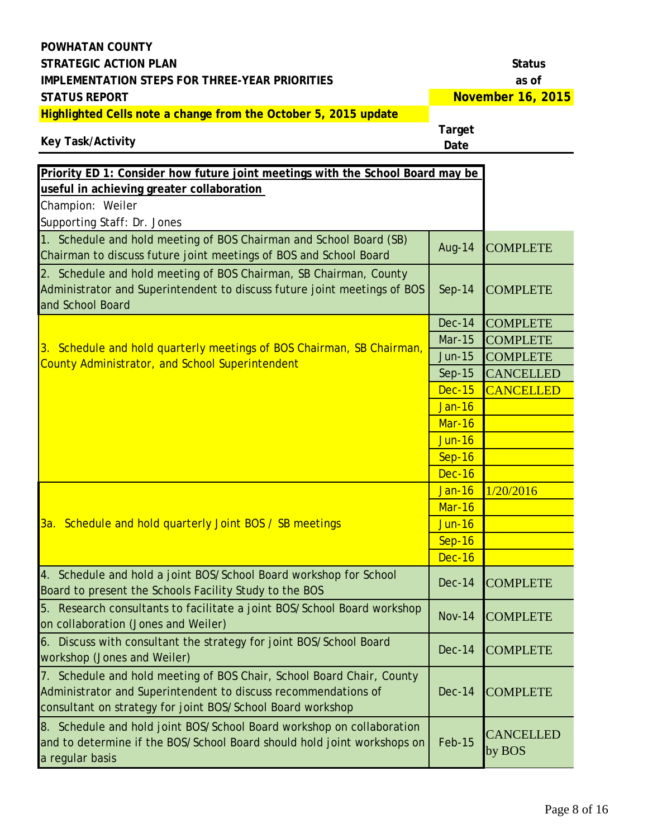**Key Task/Activity**

**November 16, 2015**

**Highlighted Cells note a change from the October 5, 2015 update**

| Priority ED 1: Consider how future joint meetings with the School Board may be                                                                                                                             |               |                     |
|------------------------------------------------------------------------------------------------------------------------------------------------------------------------------------------------------------|---------------|---------------------|
| useful in achieving greater collaboration                                                                                                                                                                  |               |                     |
| Champion: Weiler                                                                                                                                                                                           |               |                     |
| Supporting Staff: Dr. Jones                                                                                                                                                                                |               |                     |
| 1. Schedule and hold meeting of BOS Chairman and School Board (SB)<br>Chairman to discuss future joint meetings of BOS and School Board                                                                    | <b>Aug-14</b> | <b>COMPLETE</b>     |
| 2. Schedule and hold meeting of BOS Chairman, SB Chairman, County<br>Administrator and Superintendent to discuss future joint meetings of BOS<br>and School Board                                          | $Sep-14$      | <b>COMPLETE</b>     |
|                                                                                                                                                                                                            | <b>Dec-14</b> | <b>COMPLETE</b>     |
| 3. Schedule and hold quarterly meetings of BOS Chairman, SB Chairman,                                                                                                                                      | <b>Mar-15</b> | <b>COMPLETE</b>     |
| <b>County Administrator, and School Superintendent</b>                                                                                                                                                     | <b>Jun-15</b> | <b>COMPLETE</b>     |
|                                                                                                                                                                                                            | Sep-15        | <b>CANCELLED</b>    |
|                                                                                                                                                                                                            | <b>Dec-15</b> | <b>CANCELLED</b>    |
|                                                                                                                                                                                                            | <b>Jan-16</b> |                     |
|                                                                                                                                                                                                            | Mar-16        |                     |
|                                                                                                                                                                                                            | <b>Jun-16</b> |                     |
|                                                                                                                                                                                                            | Sep-16        |                     |
|                                                                                                                                                                                                            | <b>Dec-16</b> |                     |
|                                                                                                                                                                                                            | <b>Jan-16</b> | 1/20/2016           |
|                                                                                                                                                                                                            | Mar-16        |                     |
| 3a. Schedule and hold quarterly Joint BOS / SB meetings                                                                                                                                                    | <b>Jun-16</b> |                     |
|                                                                                                                                                                                                            | <b>Sep-16</b> |                     |
|                                                                                                                                                                                                            | <b>Dec-16</b> |                     |
| 4. Schedule and hold a joint BOS/School Board workshop for School<br>Board to present the Schools Facility Study to the BOS                                                                                | $Dec-14$      | <b>COMPLETE</b>     |
| 5. Research consultants to facilitate a joint BOS/School Board workshop<br>on collaboration (Jones and Weiler)                                                                                             | <b>Nov-14</b> | <b>COMPLETE</b>     |
| 6. Discuss with consultant the strategy for joint BOS/School Board<br>workshop (Jones and Weiler)                                                                                                          | <b>Dec-14</b> | <b>COMPLETE</b>     |
| Schedule and hold meeting of BOS Chair, School Board Chair, County<br>7. .<br>Administrator and Superintendent to discuss recommendations of<br>consultant on strategy for joint BOS/School Board workshop | <b>Dec-14</b> | <b>COMPLETE</b>     |
| 8. Schedule and hold joint BOS/School Board workshop on collaboration<br>and to determine if the BOS/School Board should hold joint workshops on<br>a regular basis                                        | Feb-15        | CANCELLED<br>by BOS |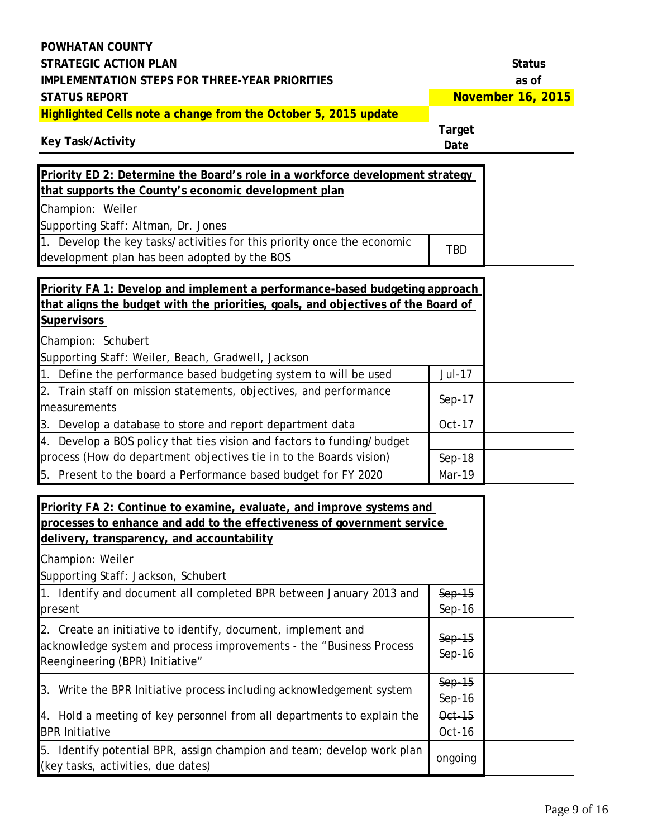| POWHATAN COUNTY<br><b>STRATEGIC ACTION PLAN</b>                                                                                                                                                |                       | <b>Status</b>                     |
|------------------------------------------------------------------------------------------------------------------------------------------------------------------------------------------------|-----------------------|-----------------------------------|
| <b>IMPLEMENTATION STEPS FOR THREE-YEAR PRIORITIES</b><br><b>STATUS REPORT</b>                                                                                                                  |                       | as of<br><b>November 16, 2015</b> |
| Highlighted Cells note a change from the October 5, 2015 update                                                                                                                                |                       |                                   |
| <b>Key Task/Activity</b>                                                                                                                                                                       | <b>Target</b><br>Date |                                   |
| Priority ED 2: Determine the Board's role in a workforce development strategy                                                                                                                  |                       |                                   |
| that supports the County's economic development plan                                                                                                                                           |                       |                                   |
| Champion: Weiler                                                                                                                                                                               |                       |                                   |
| Supporting Staff: Altman, Dr. Jones                                                                                                                                                            |                       |                                   |
| 1. Develop the key tasks/activities for this priority once the economic                                                                                                                        |                       |                                   |
| development plan has been adopted by the BOS                                                                                                                                                   | <b>TBD</b>            |                                   |
|                                                                                                                                                                                                |                       |                                   |
| Priority FA 1: Develop and implement a performance-based budgeting approach                                                                                                                    |                       |                                   |
| that aligns the budget with the priorities, goals, and objectives of the Board of                                                                                                              |                       |                                   |
| <b>Supervisors</b>                                                                                                                                                                             |                       |                                   |
| Champion: Schubert                                                                                                                                                                             |                       |                                   |
| Supporting Staff: Weiler, Beach, Gradwell, Jackson                                                                                                                                             |                       |                                   |
| 1. Define the performance based budgeting system to will be used                                                                                                                               | Jul-17                |                                   |
| 2. Train staff on mission statements, objectives, and performance<br>measurements                                                                                                              | $Sep-17$              |                                   |
| 3. Develop a database to store and report department data                                                                                                                                      | Oct-17                |                                   |
| 4. Develop a BOS policy that ties vision and factors to funding/budget                                                                                                                         |                       |                                   |
| process (How do department objectives tie in to the Boards vision)                                                                                                                             | Sep-18                |                                   |
| 5. Present to the board a Performance based budget for FY 2020                                                                                                                                 | Mar-19                |                                   |
| Priority FA 2: Continue to examine, evaluate, and improve systems and<br>processes to enhance and add to the effectiveness of government service<br>delivery, transparency, and accountability |                       |                                   |
| Champion: Weiler                                                                                                                                                                               |                       |                                   |
| Supporting Staff: Jackson, Schubert                                                                                                                                                            |                       |                                   |
| 1. Identify and document all completed BPR between January 2013 and<br>present                                                                                                                 | $Sep-15$<br>$Sep-16$  |                                   |
| 2. Create an initiative to identify, document, implement and<br>acknowledge system and process improvements - the "Business Process<br>Reengineering (BPR) Initiative"                         | $Sep-15$<br>$Sep-16$  |                                   |
| 3. Write the BPR Initiative process including acknowledgement system                                                                                                                           | $Sep-15$<br>$Sep-16$  |                                   |
| 4. Hold a meeting of key personnel from all departments to explain the<br><b>BPR Initiative</b>                                                                                                | Oct-15<br>$Oct-16$    |                                   |
| 5. Identify potential BPR, assign champion and team; develop work plan<br>(key tasks, activities, due dates)                                                                                   | ongoing               |                                   |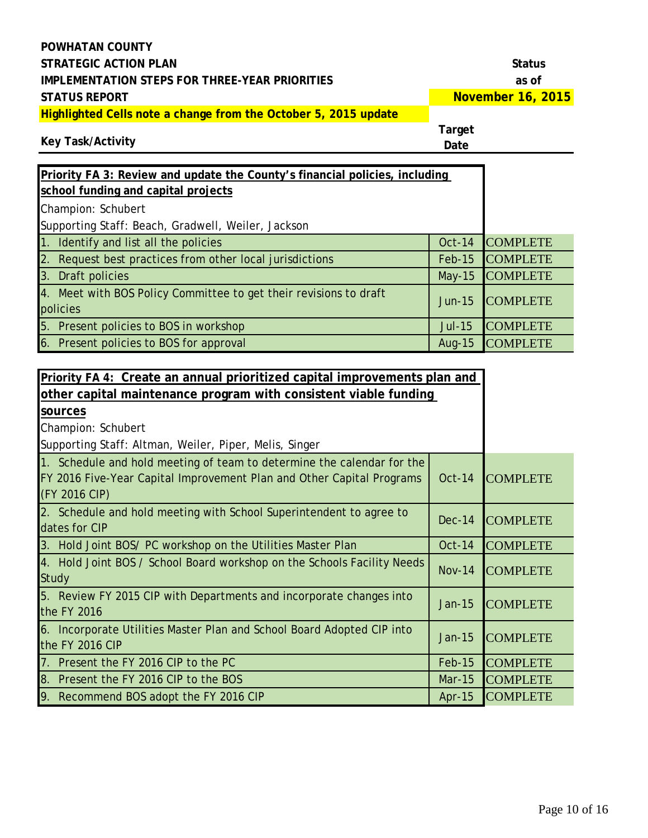**November 16, 2015**

**Highlighted Cells note a change from the October 5, 2015 update**

#### **Target**

### **Key Task/Activity**

| Priority FA 3: Review and update the County's financial policies, including   |               |                 |
|-------------------------------------------------------------------------------|---------------|-----------------|
| school funding and capital projects                                           |               |                 |
| Champion: Schubert                                                            |               |                 |
| Supporting Staff: Beach, Gradwell, Weiler, Jackson                            |               |                 |
| 1. Identify and list all the policies                                         | <b>Oct-14</b> | <b>COMPLETE</b> |
| 2. Request best practices from other local jurisdictions                      | Feb-15        | <b>COMPLETE</b> |
| 3. Draft policies                                                             | $May-15$      | <b>COMPLETE</b> |
| 4. Meet with BOS Policy Committee to get their revisions to draft<br>policies | $Jun-15$      | <b>COMPLETE</b> |
| 5. Present policies to BOS in workshop                                        | <b>Jul-15</b> | <b>COMPLETE</b> |
| 6. Present policies to BOS for approval                                       | Aug-15        | <b>COMPLETE</b> |

| Priority FA 4: Create an annual prioritized capital improvements plan and                                                                                        |               |                 |
|------------------------------------------------------------------------------------------------------------------------------------------------------------------|---------------|-----------------|
| other capital maintenance program with consistent viable funding                                                                                                 |               |                 |
| sources                                                                                                                                                          |               |                 |
| Champion: Schubert                                                                                                                                               |               |                 |
| Supporting Staff: Altman, Weiler, Piper, Melis, Singer                                                                                                           |               |                 |
| 1. Schedule and hold meeting of team to determine the calendar for the<br>FY 2016 Five-Year Capital Improvement Plan and Other Capital Programs<br>(FY 2016 CIP) | <b>Oct-14</b> | <b>COMPLETE</b> |
| 2. Schedule and hold meeting with School Superintendent to agree to<br>dates for CIP                                                                             | $Dec-14$      | <b>COMPLETE</b> |
| 3. Hold Joint BOS/ PC workshop on the Utilities Master Plan                                                                                                      | <b>Oct-14</b> | <b>COMPLETE</b> |
| 4. Hold Joint BOS / School Board workshop on the Schools Facility Needs<br><b>Study</b>                                                                          | <b>Nov-14</b> | <b>COMPLETE</b> |
| 5. Review FY 2015 CIP with Departments and incorporate changes into<br>the FY 2016                                                                               | Jan-15        | <b>COMPLETE</b> |
| 6. Incorporate Utilities Master Plan and School Board Adopted CIP into<br>the FY 2016 CIP                                                                        | Jan-15        | <b>COMPLETE</b> |
| 7. Present the FY 2016 CIP to the PC                                                                                                                             | $Feb-15$      | <b>COMPLETE</b> |
| 8. Present the FY 2016 CIP to the BOS                                                                                                                            | <b>Mar-15</b> | <b>COMPLETE</b> |
| 9. Recommend BOS adopt the FY 2016 CIP                                                                                                                           | Apr- $15$     | <b>COMPLETE</b> |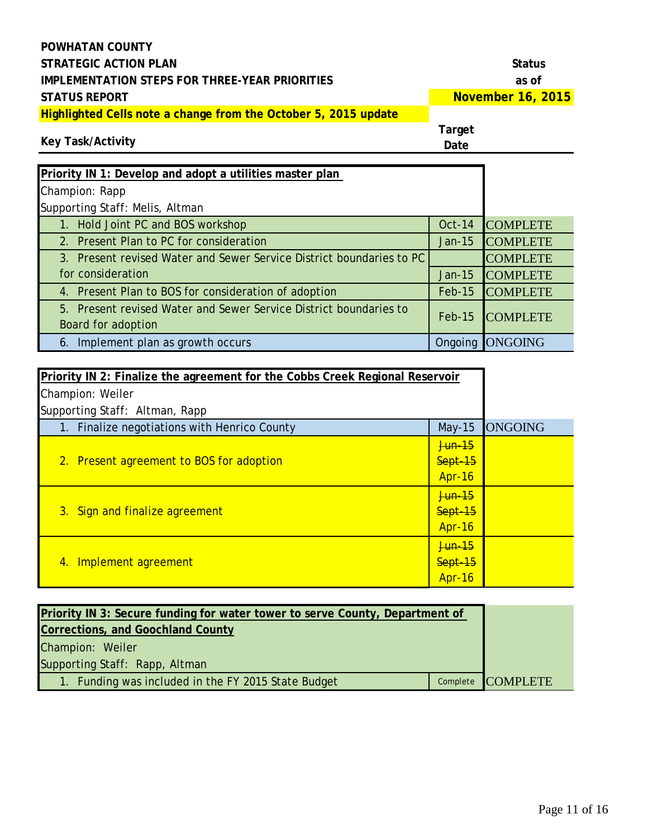**November 16, 2015**

# **Highlighted Cells note a change from the October 5, 2015 update**

### **Key Task/Activity**

| Priority IN 1: Develop and adopt a utilities master plan             |               |                 |
|----------------------------------------------------------------------|---------------|-----------------|
| Champion: Rapp                                                       |               |                 |
| Supporting Staff: Melis, Altman                                      |               |                 |
| 1. Hold Joint PC and BOS workshop                                    | <b>Oct-14</b> | <b>COMPLETE</b> |
| 2. Present Plan to PC for consideration                              | $Jan-15$      | <b>COMPLETE</b> |
| 3. Present revised Water and Sewer Service District boundaries to PC |               | <b>COMPLETE</b> |
| for consideration                                                    | Jan-15        | <b>COMPLETE</b> |
| 4. Present Plan to BOS for consideration of adoption                 | <b>Feb-15</b> | <b>COMPLETE</b> |
| 5. Present revised Water and Sewer Service District boundaries to    | $Feb-15$      | <b>COMPLETE</b> |
| Board for adoption                                                   |               |                 |
| 6. Implement plan as growth occurs                                   | Ongoing       | <b>ONGOING</b>  |

| Priority IN 2: Finalize the agreement for the Cobbs Creek Regional Reservoir |                   |                |
|------------------------------------------------------------------------------|-------------------|----------------|
| Champion: Weiler                                                             |                   |                |
| Supporting Staff: Altman, Rapp                                               |                   |                |
| 1. Finalize negotiations with Henrico County                                 | $May-15$          | <b>ONGOING</b> |
|                                                                              | <del>Jun 15</del> |                |
| 2. Present agreement to BOS for adoption                                     | Sept-15           |                |
|                                                                              | <b>Apr-16</b>     |                |
|                                                                              | <del>Jun 15</del> |                |
| 3. Sign and finalize agreement                                               | Sept-15           |                |
|                                                                              | <b>Apr-16</b>     |                |
|                                                                              | <del>Jun 15</del> |                |
| Implement agreement<br>4.                                                    | Sept-15           |                |
|                                                                              | Apr-16            |                |

| Priority IN 3: Secure funding for water tower to serve County, Department of |  |                   |
|------------------------------------------------------------------------------|--|-------------------|
| <b>Corrections, and Goochland County</b>                                     |  |                   |
| Champion: Weiler                                                             |  |                   |
| Supporting Staff: Rapp, Altman                                               |  |                   |
| 1. Funding was included in the FY 2015 State Budget                          |  | Complete COMPLETE |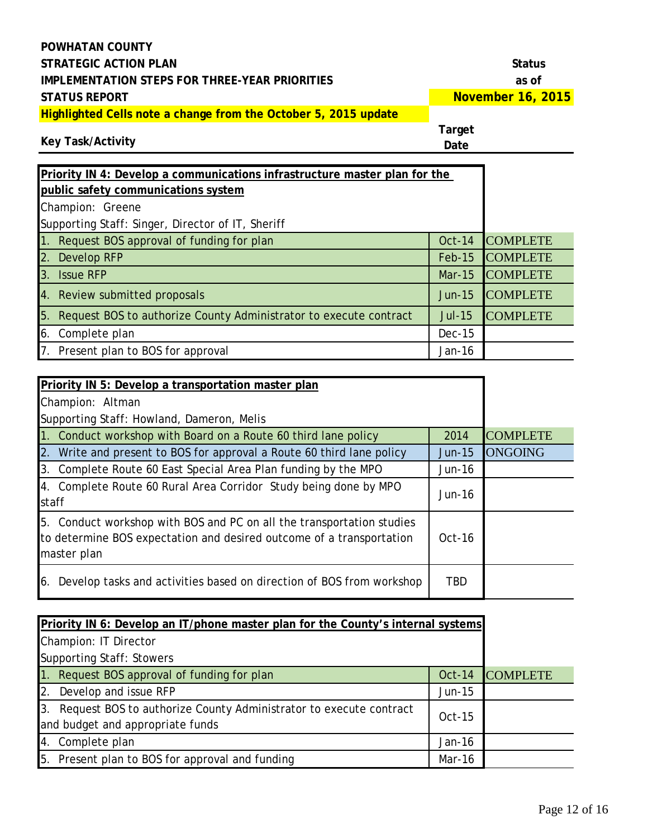| <b>POWHATAN COUNTY</b>                                                 |                   |
|------------------------------------------------------------------------|-------------------|
| STRATEGIC ACTION PLAN                                                  | <b>Status</b>     |
| IMPLEMENTATION STEPS FOR THREE-YEAR PRIORITIES                         | as of             |
| <b>STATUS REPORT</b>                                                   | November 16, 2015 |
| <b>Highlighted Cells note a change from the October 5, 2015 update</b> |                   |

**Target** 

### **Key Task/Activity**

| Priority IN 4: Develop a communications infrastructure master plan for the |               |                 |
|----------------------------------------------------------------------------|---------------|-----------------|
| public safety communications system                                        |               |                 |
| Champion: Greene                                                           |               |                 |
| Supporting Staff: Singer, Director of IT, Sheriff                          |               |                 |
| 1. Request BOS approval of funding for plan                                | $Oct-14$      | <b>COMPLETE</b> |
| 2. Develop RFP                                                             | <b>Feb-15</b> | <b>COMPLETE</b> |
| 3. Issue RFP                                                               | $Mar-15$      | <b>COMPLETE</b> |
| 4. Review submitted proposals                                              | <b>Jun-15</b> | <b>COMPLETE</b> |
| 5. Request BOS to authorize County Administrator to execute contract       | <b>Jul-15</b> | <b>COMPLETE</b> |
| 6. Complete plan                                                           | <b>Dec-15</b> |                 |
| 7. Present plan to BOS for approval                                        | $Jan-16$      |                 |

| Priority IN 5: Develop a transportation master plan                                                                                                          |            |                 |
|--------------------------------------------------------------------------------------------------------------------------------------------------------------|------------|-----------------|
| Champion: Altman                                                                                                                                             |            |                 |
| Supporting Staff: Howland, Dameron, Melis                                                                                                                    |            |                 |
| 1. Conduct workshop with Board on a Route 60 third lane policy                                                                                               | 2014       | <b>COMPLETE</b> |
| 2. Write and present to BOS for approval a Route 60 third lane policy                                                                                        | $Jun-15$   | <b>ONGOING</b>  |
| 3. Complete Route 60 East Special Area Plan funding by the MPO                                                                                               | $Jun-16$   |                 |
| 4. Complete Route 60 Rural Area Corridor Study being done by MPO<br>staff                                                                                    | $Jun-16$   |                 |
| 5. Conduct workshop with BOS and PC on all the transportation studies<br>to determine BOS expectation and desired outcome of a transportation<br>master plan | $Oct-16$   |                 |
| Develop tasks and activities based on direction of BOS from workshop<br>6.                                                                                   | <b>TBD</b> |                 |

| Priority IN 6: Develop an IT/phone master plan for the County's internal systems |          |                 |
|----------------------------------------------------------------------------------|----------|-----------------|
| Champion: IT Director                                                            |          |                 |
| <b>Supporting Staff: Stowers</b>                                                 |          |                 |
| 1. Request BOS approval of funding for plan                                      | Oct-14   | <b>COMPLETE</b> |
| 2. Develop and issue RFP                                                         | $Jun-15$ |                 |
| 3. Request BOS to authorize County Administrator to execute contract             | $Oct-15$ |                 |
| and budget and appropriate funds                                                 |          |                 |
| 4. Complete plan                                                                 | $Jan-16$ |                 |
| 5. Present plan to BOS for approval and funding                                  | Mar-16   |                 |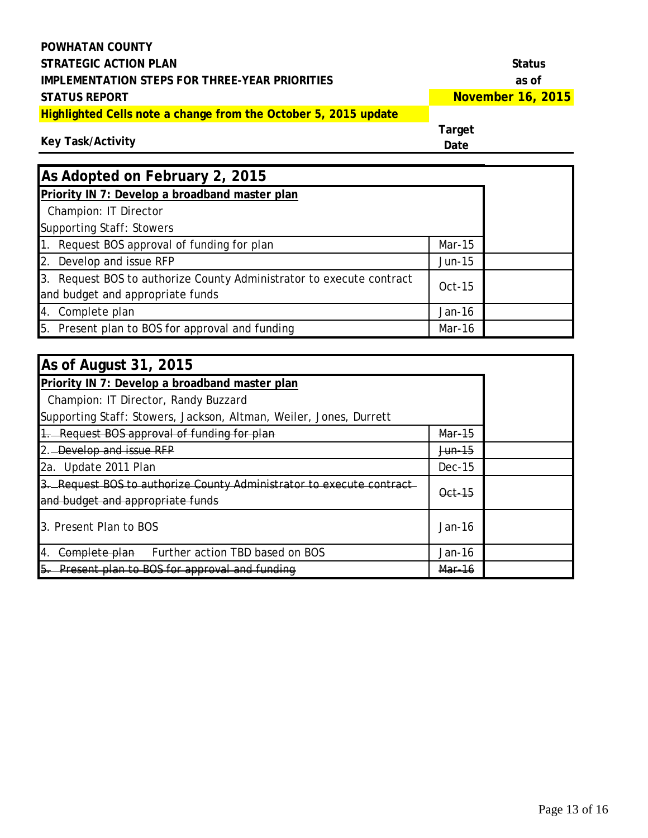**November 16, 2015**

**Highlighted Cells note a change from the October 5, 2015 update**

#### **Target**

**Key Task/Activity**

| As Adopted on February 2, 2015                                                                           |          |  |
|----------------------------------------------------------------------------------------------------------|----------|--|
| Priority IN 7: Develop a broadband master plan                                                           |          |  |
| Champion: IT Director                                                                                    |          |  |
| <b>Supporting Staff: Stowers</b>                                                                         |          |  |
| 1. Request BOS approval of funding for plan                                                              | $Mar-15$ |  |
| 2. Develop and issue RFP                                                                                 | $Jun-15$ |  |
| 3. Request BOS to authorize County Administrator to execute contract<br>and budget and appropriate funds | $Oct-15$ |  |
| 4. Complete plan                                                                                         | $Jan-16$ |  |
| 5. Present plan to BOS for approval and funding                                                          | Mar-16   |  |

| As of August 31, 2015                                                                                    |                    |  |
|----------------------------------------------------------------------------------------------------------|--------------------|--|
| Priority IN 7: Develop a broadband master plan                                                           |                    |  |
| Champion: IT Director, Randy Buzzard                                                                     |                    |  |
| Supporting Staff: Stowers, Jackson, Altman, Weiler, Jones, Durrett                                       |                    |  |
| 1. Request BOS approval of funding for plan                                                              | Mar-15             |  |
| 2. Develop and issue RFP                                                                                 | <del>Jun 1</del> 5 |  |
| 2a. Update 2011 Plan                                                                                     | $Dec-15$           |  |
| 3. Request BOS to authorize County Administrator to execute contract<br>and budget and appropriate funds | Oct-15             |  |
| 3. Present Plan to BOS                                                                                   | $Jan-16$           |  |
| Further action TBD based on BOS<br>Complete plan<br>14.                                                  | Jan-16             |  |
| Present plan to BOS for approval and funding                                                             | Mar-16             |  |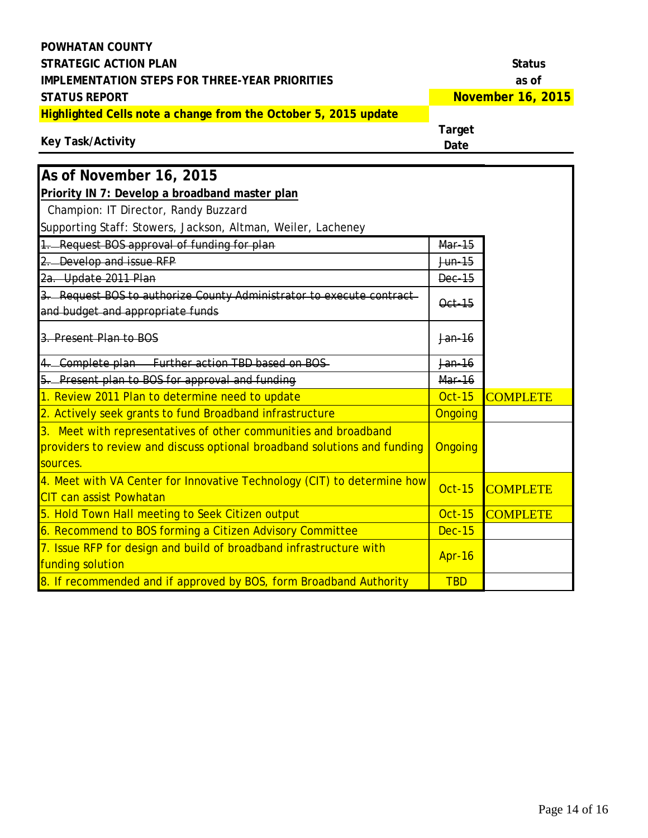| <b>POWHATAN COUNTY</b>                                                                                                                                  |                       |                   |
|---------------------------------------------------------------------------------------------------------------------------------------------------------|-----------------------|-------------------|
| <b>STRATEGIC ACTION PLAN</b>                                                                                                                            |                       | <b>Status</b>     |
| <b>IMPLEMENTATION STEPS FOR THREE-YEAR PRIORITIES</b>                                                                                                   |                       | as of             |
| <b>STATUS REPORT</b>                                                                                                                                    |                       | November 16, 2015 |
| Highlighted Cells note a change from the October 5, 2015 update                                                                                         |                       |                   |
| Key Task/Activity                                                                                                                                       | <b>Target</b><br>Date |                   |
| As of November 16, 2015                                                                                                                                 |                       |                   |
| Priority IN 7: Develop a broadband master plan                                                                                                          |                       |                   |
| Champion: IT Director, Randy Buzzard                                                                                                                    |                       |                   |
| Supporting Staff: Stowers, Jackson, Altman, Weiler, Lacheney                                                                                            |                       |                   |
| 1. Request BOS approval of funding for plan                                                                                                             | Mar-15                |                   |
| 2. Develop and issue RFP                                                                                                                                | Jun-15                |                   |
| 2a. Update 2011 Plan                                                                                                                                    | <b>Dec-15</b>         |                   |
| 3. Request BOS to authorize County Administrator to execute contract-<br>and budget and appropriate funds                                               | Oct-15                |                   |
| 3. Present Plan to BOS                                                                                                                                  | Jan-16                |                   |
| 4. Complete plan Further action TBD based on BOS-                                                                                                       | $Jan-16$              |                   |
| 5. Present plan to BOS for approval and funding                                                                                                         | <b>Mar-16</b>         |                   |
| 1. Review 2011 Plan to determine need to update                                                                                                         | <b>Oct-15</b>         | <b>COMPLETE</b>   |
| 2. Actively seek grants to fund Broadband infrastructure                                                                                                | Ongoing               |                   |
| 3. Meet with representatives of other communities and broadband<br>providers to review and discuss optional broadband solutions and funding<br>sources. | <b>Ongoing</b>        |                   |
| 4. Meet with VA Center for Innovative Technology (CIT) to determine how<br><b>CIT can assist Powhatan</b>                                               | <b>Oct-15</b>         | <b>COMPLETE</b>   |
| 5. Hold Town Hall meeting to Seek Citizen output                                                                                                        | <b>Oct-15</b>         | <b>COMPLETE</b>   |
| 6. Recommend to BOS forming a Citizen Advisory Committee                                                                                                | <b>Dec-15</b>         |                   |
| 7. Issue RFP for design and build of broadband infrastructure with<br>funding solution                                                                  | Apr-16                |                   |
| 8. If recommended and if approved by BOS, form Broadband Authority                                                                                      | <b>TBD</b>            |                   |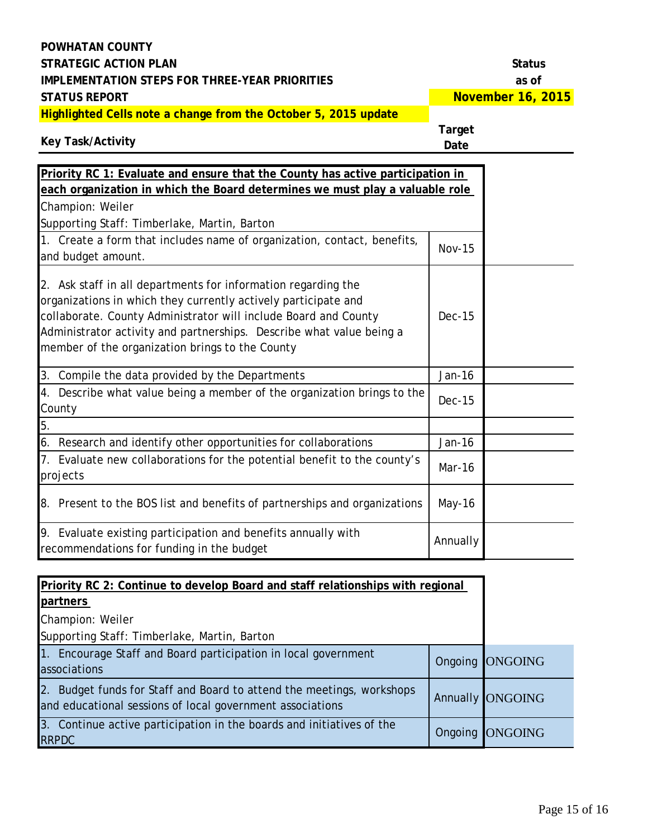**November 16, 2015**

**Highlighted Cells note a change from the October 5, 2015 update**

**Target** 

| Key Task/Activity |  |  |
|-------------------|--|--|
|-------------------|--|--|

| <b>Priority RC 1: Evaluate and ensure that the County has active participation in</b>                                                                                                                                                                                                                                         |               |  |
|-------------------------------------------------------------------------------------------------------------------------------------------------------------------------------------------------------------------------------------------------------------------------------------------------------------------------------|---------------|--|
| each organization in which the Board determines we must play a valuable role                                                                                                                                                                                                                                                  |               |  |
| Champion: Weiler                                                                                                                                                                                                                                                                                                              |               |  |
| Supporting Staff: Timberlake, Martin, Barton                                                                                                                                                                                                                                                                                  |               |  |
| 1. Create a form that includes name of organization, contact, benefits,                                                                                                                                                                                                                                                       | <b>Nov-15</b> |  |
| and budget amount.                                                                                                                                                                                                                                                                                                            |               |  |
| 2. Ask staff in all departments for information regarding the<br>organizations in which they currently actively participate and<br>collaborate. County Administrator will include Board and County<br>Administrator activity and partnerships. Describe what value being a<br>member of the organization brings to the County | Dec-15        |  |
| 3. Compile the data provided by the Departments                                                                                                                                                                                                                                                                               | Jan-16        |  |
| 4. Describe what value being a member of the organization brings to the<br>County                                                                                                                                                                                                                                             | $Dec-15$      |  |
| 5.                                                                                                                                                                                                                                                                                                                            |               |  |
| 6. Research and identify other opportunities for collaborations                                                                                                                                                                                                                                                               | Jan-16        |  |
| 7. Evaluate new collaborations for the potential benefit to the county's<br>projects                                                                                                                                                                                                                                          | Mar-16        |  |
| 8. Present to the BOS list and benefits of partnerships and organizations                                                                                                                                                                                                                                                     | May-16        |  |
| 9. Evaluate existing participation and benefits annually with<br>recommendations for funding in the budget                                                                                                                                                                                                                    | Annually      |  |

| Priority RC 2: Continue to develop Board and staff relationships with regional                                                     |         |                  |
|------------------------------------------------------------------------------------------------------------------------------------|---------|------------------|
| partners                                                                                                                           |         |                  |
| Champion: Weiler                                                                                                                   |         |                  |
| Supporting Staff: Timberlake, Martin, Barton                                                                                       |         |                  |
| 1. Encourage Staff and Board participation in local government<br>associations                                                     |         | Ongoing ONGOING  |
| 2. Budget funds for Staff and Board to attend the meetings, workshops<br>and educational sessions of local government associations |         | Annually ONGOING |
| 3. Continue active participation in the boards and initiatives of the<br><b>RRPDC</b>                                              | Ongoing | <b>ONGOING</b>   |